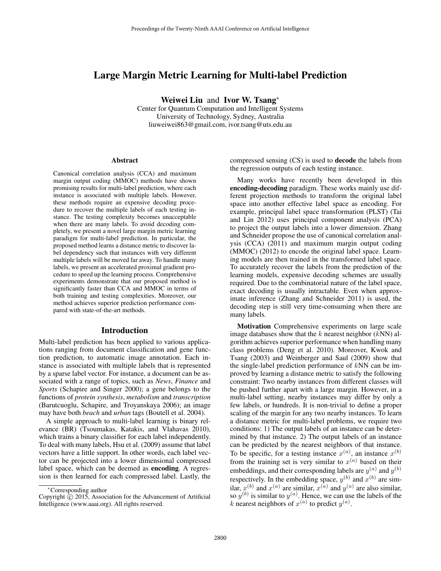# Large Margin Metric Learning for Multi-label Prediction

Weiwei Liu and Ivor W. Tsang<sup>∗</sup>

Center for Quantum Computation and Intelligent Systems University of Technology, Sydney, Australia liuweiwei863@gmail.com, ivor.tsang@uts.edu.au

#### Abstract

Canonical correlation analysis (CCA) and maximum margin output coding (MMOC) methods have shown promising results for multi-label prediction, where each instance is associated with multiple labels. However, these methods require an expensive decoding procedure to recover the multiple labels of each testing instance. The testing complexity becomes unacceptable when there are many labels. To avoid decoding completely, we present a novel large margin metric learning paradigm for multi-label prediction. In particular, the proposed method learns a distance metric to discover label dependency such that instances with very different multiple labels will be moved far away. To handle many labels, we present an accelerated proximal gradient procedure to speed up the learning process. Comprehensive experiments demonstrate that our proposed method is significantly faster than CCA and MMOC in terms of both training and testing complexities. Moreover, our method achieves superior prediction performance compared with state-of-the-art methods.

#### Introduction

Multi-label prediction has been applied to various applications ranging from document classification and gene function prediction, to automatic image annotation. Each instance is associated with multiple labels that is represented by a sparse label vector. For instance, a document can be associated with a range of topics, such as *News*, *Finance* and *Sports* (Schapire and Singer 2000); a gene belongs to the functions of *protein synthesis*, *metabolism* and *transcription* (Barutcuoglu, Schapire, and Troyanskaya 2006); an image may have both *beach* and *urban* tags (Boutell et al. 2004).

A simple approach to multi-label learning is binary relevance (BR) (Tsoumakas, Katakis, and Vlahavas 2010), which trains a binary classifier for each label independently. To deal with many labels, Hsu et al. (2009) assume that label vectors have a little support. In other words, each label vector can be projected into a lower dimensional compressed label space, which can be deemed as encoding. A regression is then learned for each compressed label. Lastly, the compressed sensing (CS) is used to decode the labels from the regression outputs of each testing instance.

Many works have recently been developed in this encoding-decoding paradigm. These works mainly use different projection methods to transform the original label space into another effective label space as encoding. For example, principal label space transformation (PLST) (Tai and Lin 2012) uses principal component analysis (PCA) to project the output labels into a lower dimension. Zhang and Schneider propose the use of canonical correlation analysis (CCA) (2011) and maximum margin output coding (MMOC) (2012) to encode the original label space. Learning models are then trained in the transformed label space. To accurately recover the labels from the prediction of the learning models, expensive decoding schemes are usually required. Due to the combinatorial nature of the label space, exact decoding is usually intractable. Even when approximate inference (Zhang and Schneider 2011) is used, the decoding step is still very time-consuming when there are many labels.

Motivation Comprehensive experiments on large scale image databases show that the k nearest neighbor  $(kNN)$  algorithm achieves superior performance when handling many class problems (Deng et al. 2010). Moreover, Kwok and Tsang (2003) and Weinberger and Saul (2009) show that the single-label prediction performance of  $kNN$  can be improved by learning a distance metric to satisfy the following constraint: Two nearby instances from different classes will be pushed further apart with a large margin. However, in a multi-label setting, nearby instances may differ by only a few labels, or hundreds. It is non-trivial to define a proper scaling of the margin for any two nearby instances. To learn a distance metric for multi-label problems, we require two conditions: 1) The output labels of an instance can be determined by that instance. 2) The output labels of an instance can be predicted by the nearest neighbors of that instance. To be specific, for a testing instance  $x^{(a)}$ , an instance  $x^{(b)}$ from the training set is very similar to  $x^{(a)}$  based on their embeddings, and their corresponding labels are  $y^{(a)}$  and  $y^{(b)}$ respectively. In the embedding space,  $y^{(b)}$  and  $x^{(b)}$  are similar,  $x^{(b)}$  and  $x^{(a)}$  are similar,  $x^{(a)}$  and  $y^{(a)}$  are also similar, so  $y^{(b)}$  is similar to  $y^{(a)}$ . Hence, we can use the labels of the k nearest neighbors of  $x^{(a)}$  to predict  $y^{(a)}$ .

<sup>∗</sup>Corresponding author

Copyright  $\hat{C}$  2015, Association for the Advancement of Artificial Intelligence (www.aaai.org). All rights reserved.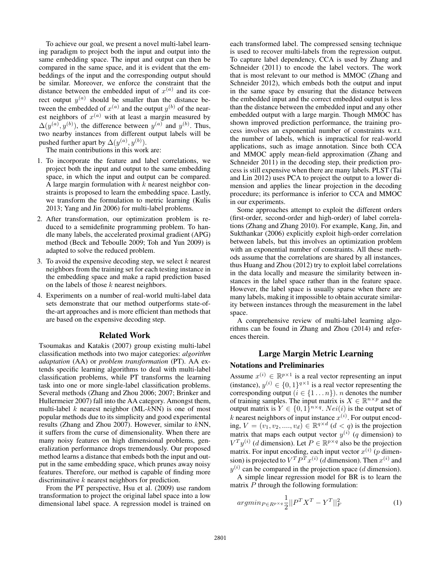To achieve our goal, we present a novel multi-label learning paradigm to project both the input and output into the same embedding space. The input and output can then be compared in the same space, and it is evident that the embeddings of the input and the corresponding output should be similar. Moreover, we enforce the constraint that the distance between the embedded input of  $x^{(a)}$  and its correct output  $y^{(a)}$  should be smaller than the distance between the embedded of  $x^{(a)}$  and the output  $y^{(b)}$  of the nearest neighbors of  $x^{(a)}$  with at least a margin measured by  $\Delta(y^{(a)}, y^{(b)})$ , the difference between  $y^{(a)}$  and  $y^{(b)}$ . Thus, two nearby instances from different output labels will be pushed further apart by  $\Delta(y^{(a)}, y^{(b)})$ .

The main contributions in this work are:

- 1. To incorporate the feature and label correlations, we project both the input and output to the same embedding space, in which the input and output can be compared. A large margin formulation with  $k$  nearest neighbor constraints is proposed to learn the embedding space. Lastly, we transform the formulation to metric learning (Kulis 2013; Yang and Jin 2006) for multi-label problems.
- 2. After transformation, our optimization problem is reduced to a semidefinite programming problem. To handle many labels, the accelerated proximal gradient (APG) method (Beck and Teboulle 2009; Toh and Yun 2009) is adapted to solve the reduced problem.
- 3. To avoid the expensive decoding step, we select  $k$  nearest neighbors from the training set for each testing instance in the embedding space and make a rapid prediction based on the labels of those  $k$  nearest neighbors.
- 4. Experiments on a number of real-world multi-label data sets demonstrate that our method outperforms state-ofthe-art approaches and is more efficient than methods that are based on the expensive decoding step.

### Related Work

Tsoumakas and Katakis (2007) group existing multi-label classification methods into two major categories: *algorithm adaptation* (AA) or *problem transformation* (PT). AA extends specific learning algorithms to deal with multi-label classification problems, while PT transforms the learning task into one or more single-label classification problems. Several methods (Zhang and Zhou 2006; 2007; Brinker and Hullermeier 2007) fall into the AA category. Amongst them, multi-label  $k$  nearest neighbor (ML- $kNN$ ) is one of most popular methods due to its simplicity and good experimental results (Zhang and Zhou 2007). However, similar to kNN, it suffers from the curse of dimensionality. When there are many noisy features on high dimensional problems, generalization performance drops tremendously. Our proposed method learns a distance that embeds both the input and output in the same embedding space, which prunes away noisy features. Therefore, our method is capable of finding more discriminative  $k$  nearest neighbors for prediction.

From the PT perspective, Hsu et al. (2009) use random transformation to project the original label space into a low dimensional label space. A regression model is trained on

each transformed label. The compressed sensing technique is used to recover multi-labels from the regression output. To capture label dependency, CCA is used by Zhang and Schneider (2011) to encode the label vectors. The work that is most relevant to our method is MMOC (Zhang and Schneider 2012), which embeds both the output and input in the same space by ensuring that the distance between the embedded input and the correct embedded output is less than the distance between the embedded input and any other embedded output with a large margin. Though MMOC has shown improved prediction performance, the training process involves an exponential number of constraints w.r.t. the number of labels, which is impractical for real-world applications, such as image annotation. Since both CCA and MMOC apply mean-field approximation (Zhang and Schneider 2011) in the decoding step, their prediction process is still expensive when there are many labels. PLST (Tai and Lin 2012) uses PCA to project the output to a lower dimension and applies the linear projection in the decoding procedure; its performance is inferior to CCA and MMOC in our experiments.

Some approaches attempt to exploit the different orders (first-order, second-order and high-order) of label correlations (Zhang and Zhang 2010). For example, Kang, Jin, and Sukthankar (2006) explicitly exploit high-order correlation between labels, but this involves an optimization problem with an exponential number of constraints. All these methods assume that the correlations are shared by all instances, thus Huang and Zhou (2012) try to exploit label correlations in the data locally and measure the similarity between instances in the label space rather than in the feature space. However, the label space is usually sparse when there are many labels, making it impossible to obtain accurate similarity between instances through the measurement in the label space.

A comprehensive review of multi-label learning algorithms can be found in Zhang and Zhou (2014) and references therein.

# Large Margin Metric Learning

## Notations and Preliminaries

Assume  $x^{(i)} \in \mathbb{R}^{p \times 1}$  is a real vector representing an input (instance),  $y^{(i)} \in \{0,1\}^{q \times 1}$  is a real vector representing the corresponding output  $(i \in \{1 \dots n\})$ . *n* denotes the number of training samples. The input matrix is  $X \in \mathbb{R}^{n \times p}$  and the output matrix is  $Y \in \{0,1\}^{n \times q}$ .  $Nei(i)$  is the output set of k nearest neighbors of input instance  $x^{(i)}$ . For output encoding,  $V = (v_1, v_2, \dots, v_d) \in \mathbb{R}^{q \times d}$   $(d < q)$  is the projection matrix that maps each output vector  $y^{(i)}$  (q dimension) to  $V^T y^{(i)}$  (*d* dimension). Let  $P \in \mathbb{R}^{p \times q}$  also be the projection matrix. For input encoding, each input vector  $x^{(i)}$  (p dimension) is projected to  $V^T P^T x^{(i)}$  (d dimension). Then  $x^{(i)}$  and  $y^{(i)}$  can be compared in the projection space (d dimension).

A simple linear regression model for BR is to learn the matrix  $P$  through the following formulation:

$$
argmin_{P \in R^{p \times q}} \frac{1}{2} ||P^T X^T - Y^T||_F^2 \tag{1}
$$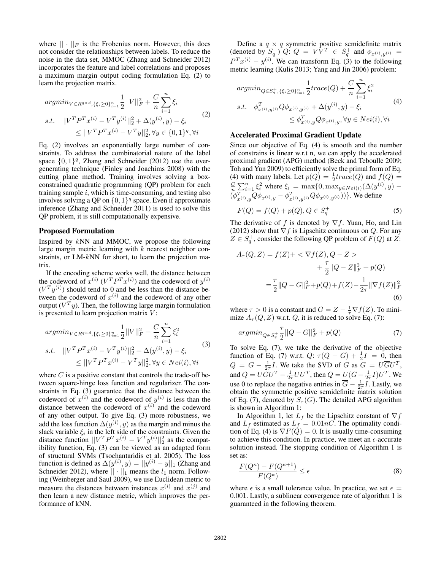where  $|| \cdot ||_F$  is the Frobenius norm. However, this does not consider the relationships between labels. To reduce the noise in the data set, MMOC (Zhang and Schneider 2012) incorporates the feature and label correlations and proposes a maximum margin output coding formulation Eq. (2) to learn the projection matrix.

$$
\underset{\begin{aligned}\n\mathit{argmin}_{V \in R^{q \times d}, \{\xi_i \ge 0\}_{i=1}^n} \sum_{j=1}^n ||V||_F^2 + \frac{C}{n} \sum_{i=1}^n \xi_i \\
\mathit{s.t.} \quad &||V^T P^T x^{(i)} - V^T y^{(i)}||_2^2 + \Delta(y^{(i)}, y) - \xi_i \\
&\leq ||V^T P^T x^{(i)} - V^T y||_2^2, \forall y \in \{0, 1\}^q, \forall i\n\end{aligned}
$$
\n
$$
(2)
$$

Eq. (2) involves an exponentially large number of constraints. To address the combinatorial nature of the label space  $\{0, 1\}^q$ , Zhang and Schneider (2012) use the overgenerating technique (Finley and Joachims 2008) with the cutting plane method. Training involves solving a boxconstrained quadratic programming (QP) problem for each training sample  $i$ , which is time-consuming, and testing also involves solving a QP on  $\{0, 1\}^q$  space. Even if approximate inference (Zhang and Schneider 2011) is used to solve this QP problem, it is still computationally expensive.

#### Proposed Formulation

Inspired by  $kNN$  and MMOC, we propose the following large margin metric learning with  $k$  nearest neighbor constraints, or LM-kNN for short, to learn the projection matrix.

If the encoding scheme works well, the distance between the codeword of  $x^{(i)}$   $(V^T P^T x^{(i)})$  and the codeword of  $y^{(i)}$  $(V<sup>T</sup> y<sup>(i)</sup>)$  should tend to 0 and be less than the distance between the codeword of  $x^{(i)}$  and the codeword of any other output ( $V^T y$ ). Then, the following large margin formulation is presented to learn projection matrix  $V$ :

$$
argmin_{V \in R^{q \times d}, \{\xi_i \ge 0\}_{i=1}^n} \frac{1}{2} ||V||_F^2 + \frac{C}{n} \sum_{i=1}^n \xi_i^2
$$
  
s.t. 
$$
||V^T P^T x^{(i)} - V^T y^{(i)}||_2^2 + \Delta(y^{(i)}, y) - \xi_i
$$

$$
\le ||V^T P^T x^{(i)} - V^T y||_2^2, \forall y \in Ne(i), \forall i
$$
(3)

where  $C$  is a positive constant that controls the trade-off between square-hinge loss function and regularizer. The constraints in Eq. (3) guarantee that the distance between the codeword of  $x^{(i)}$  and the codeword of  $y^{(i)}$  is less than the distance between the codeword of  $x^{(i)}$  and the codeword of any other output. To give Eq. (3) more robustness, we add the loss function  $\Delta(y^{(i)}, y)$  as the margin and minus the slack variable  $\xi_i$  in the left side of the constraints. Given the distance function  $||V^T P^T x^{(i)} - V^T y^{(i)}||_2^2$  as the compatibility function, Eq. (3) can be viewed as an adapted form of structural SVMs (Tsochantaridis et al. 2005). The loss function is defined as  $\Delta(y^{(i)}, y) = ||y^{(i)} - y||_1$  (Zhang and Schneider 2012), where  $|| \cdot ||_1$  means the  $l_1$  norm. Following (Weinberger and Saul 2009), we use Euclidean metric to measure the distances between instances  $x^{(i)}$  and  $x^{(j)}$  and then learn a new distance metric, which improves the performance of kNN.

Define a  $q \times q$  symmetric positive semidefinite matrix (denoted by  $S_q^+$ )  $Q$ :  $Q = V\overline{V}^T \in S_q^+$  and  $\phi_{x^{(i)},y^{(i)}} =$  $P^{T}x^{(i)} - y^{(i)}$ . We can transform Eq. (3) to the following metric learning (Kulis 2013; Yang and Jin 2006) problem:

$$
argmin_{Q \in S_{q}^{+}, \{\xi_{i} \ge 0\}_{i=1}^{n}} \frac{1}{2} trace(Q) + \frac{C}{n} \sum_{i=1}^{n} \xi_{i}^{2}
$$
  
s.t. 
$$
\phi_{x^{(i)}, y^{(i)}}^{T} Q \phi_{x^{(i)}, y^{(i)}} + \Delta(y^{(i)}, y) - \xi_{i}
$$

$$
\le \phi_{x^{(i)}, y}^{T} Q \phi_{x^{(i)}, y}, \forall y \in Ne(i), \forall i
$$
 (4)

## Accelerated Proximal Gradient Update

Since our objective of Eq. (4) is smooth and the number of constrains is linear w.r.t n, we can apply the accelerated proximal gradient (APG) method (Beck and Teboulle 2009; Toh and Yun 2009) to efficiently solve the primal form of Eq. (4) with many labels. Let  $p(Q) = \frac{1}{2} trace(Q)$  and  $f(Q) =$  $\sum_{i=1}^{C} \sum_{i=1}^{n} \xi_i^2$  where  $\xi_i = \max\{0, \max_{y \in Nei(i)} (\Delta(y^{(i)}, y) - \Delta(y^{(i)}, y))\}$  $(\phi_{x^{(i)},y}^T Q \phi_{x^{(i)},y} - \phi_{x^{(i)},y^{(i)}}^T Q \phi_{x^{(i)},y^{(i)}}))\}$ . We define

$$
F(Q) = f(Q) + p(Q), Q \in S_q^+
$$
 (5)

The derivative of f is denoted by  $\nabla f$ . Yuan, Ho, and Lin (2012) show that  $\nabla f$  is Lipschitz continuous on Q. For any  $Z \in S_q^+$ , consider the following QP problem of  $F(Q)$  at  $Z$ :

$$
A_{\tau}(Q, Z) = f(Z) + \langle \nabla f(Z), Q - Z \rangle
$$
  
+ 
$$
\frac{\tau}{2} ||Q - Z||_F^2 + p(Q)
$$
  
= 
$$
\frac{\tau}{2} ||Q - G||_F^2 + p(Q) + f(Z) - \frac{1}{2\tau} ||\nabla f(Z)||_F^2
$$
  
(6)

where  $\tau > 0$  is a constant and  $G = Z - \frac{1}{\tau} \nabla f(Z)$ . To minimize  $A_{\tau}(Q, Z)$  w.r.t. Q, it is reduced to solve Eq. (7):

$$
argmin_{Q \in S_q^+} \frac{\tau}{2} ||Q - G||_F^2 + p(Q)
$$
\n(7)

To solve Eq. (7), we take the derivative of the objective function of Eq. (7) w.r.t.  $Q: \tau(Q - G) + \frac{1}{2}I = 0$ , then  $Q = G - \frac{1}{2\tau}I$ . We take the SVD of G as  $G = U\overline{G}U^{T}$ , and  $Q = U\overline{G}U^T - \frac{1}{2\tau}UU^T$ , then  $Q = U(\overline{G} - \frac{1}{2\tau}I)U^T$ . We use 0 to replace the negative entries in  $\overline{G} - \frac{1}{2\tau}I$ . Lastly, we obtain the symmetric positive semidefinite matrix solution of Eq. (7), denoted by  $S_{\tau}(G)$ . The detailed APG algorithm is shown in Algorithm 1:

In Algorithm 1, let  $L_f$  be the Lipschitz constant of  $\nabla f$ and  $L_f$  estimated as  $L_f = 0.01nC$ . The optimality condition of Eq. (4) is  $\nabla F(Q) = 0$ . It is usually time-consuming to achieve this condition. In practice, we meet an  $\epsilon$ -accurate solution instead. The stopping condition of Algorithm 1 is set as:

$$
\frac{F(Q^{\kappa}) - F(Q^{\kappa+1})}{F(Q^{\kappa})} \le \epsilon
$$
\n(8)

where  $\epsilon$  is a small tolerance value. In practice, we set  $\epsilon$  = 0.001. Lastly, a sublinear convergence rate of algorithm 1 is guaranteed in the following theorem.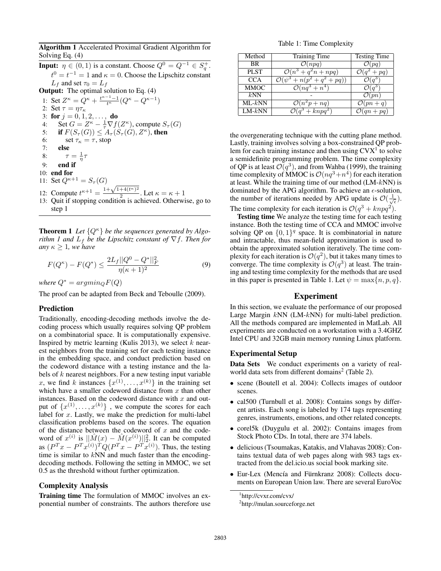Algorithm 1 Accelerated Proximal Gradient Algorithm for Solving Eq. (4)

**Input:**  $\eta \in (0, 1)$  is a constant. Choose  $Q^0 = Q^{-1} \in S_q^+$ .  $t^0 = t^{-1} = 1$  and  $\kappa = 0$ . Choose the Lipschitz constant  $L_f$  and set  $\tau_0 = L_f$ Output: The optimal solution to Eq. (4) 1: Set  $Z^{\kappa} = Q^{\kappa} + \frac{t^{\kappa-1}-1}{t^{\kappa}}(Q^{\kappa} - Q^{\kappa-1})$ 2: Set  $\tau = \eta \tau_{\kappa}$ 3: for  $j = 0, 1, 2, ...,$  do 4: Set  $G = Z^{\kappa} - \frac{1}{\tau} \nabla f(Z^{\kappa})$ , compute  $S_{\tau}(G)$ 5: if  $F(S_{\tau}(G)) \leq A_{\tau}(S_{\tau}(G), Z^{\kappa})$ , then 6: set  $\tau_{\kappa} = \tau$ , stop 7: else 8:  $\tau = \frac{1}{\eta}\tau$ 9: end if 10: end for 11: Set  $Q^{\kappa+1} = S_{\tau}(G)$ 11: Set  $Q^{(k+1)} = S_{\tau}(G)$ <br>12: Compute  $t^{k+1} = \frac{1+\sqrt{1+4(t^k)^2}}{2}$  $\frac{1}{2}$ . Let  $\kappa = \kappa + 1$ 13: Quit if stopping condition is achieved. Otherwise, go to step 1

**Theorem 1** Let  $\{Q^{\kappa}\}\$  *be the sequences generated by Algorithm 1 and*  $L_f$  *be the Lipschitz constant of*  $\nabla f$ *. Then for any*  $\kappa > 1$ *, we have* 

$$
F(Q^{\kappa}) - F(Q^*) \le \frac{2L_f ||Q^0 - Q^*||_F^2}{\eta(\kappa + 1)^2} \tag{9}
$$

*where*  $Q^* = argmin_Q F(Q)$ 

The proof can be adapted from Beck and Teboulle (2009).

## Prediction

Traditionally, encoding-decoding methods involve the decoding process which usually requires solving QP problem on a combinatorial space. It is computationally expensive. Inspired by metric learning (Kulis 2013), we select  $k$  nearest neighbors from the training set for each testing instance in the embedding space, and conduct prediction based on the codeword distance with a testing instance and the labels of  $k$  nearest neighbors. For a new testing input variable x, we find k instances  $\{x^{(1)},...,x^{(k)}\}$  in the training set which have a smaller codeword distance from  $x$  than other instances. Based on the codeword distance with  $x$  and output of  $\{x^{(1)},...,x^{(k)}\}$ , we compute the scores for each label for x. Lastly, we make the prediction for multi-label classification problems based on the scores. The equation of the distance between the codeword of  $x$  and the codeword of  $x^{(i)}$  is  $||\hat{M}(x) - \hat{M}(x^{(i)})||_2^2$ . It can be computed as  $(P^T x - P^T x^{(i)})^T Q (P^T x - P^T x^{(i)})$ . Thus, the testing time is similar to  $kNN$  and much faster than the encodingdecoding methods. Following the setting in MMOC, we set 0.5 as the threshold without further optimization.

## Complexity Analysis

Training time The formulation of MMOC involves an exponential number of constraints. The authors therefore use

Table 1: Time Complexity

| Method      | Training Time                          | <b>Testing Time</b>    |
|-------------|----------------------------------------|------------------------|
| BR          | $\mathcal{O}(npq)$                     |                        |
| <b>PLST</b> | $\overline{\mathcal{O}(n^3+q^2n+npq)}$ | $+pq$                  |
| <b>CCA</b>  | $+ n(p^2+q^2+pq)$                      |                        |
| <b>MMOC</b> | $\mathcal{O}(nq^3 + n^4)$              |                        |
| kNN         |                                        | $\mathcal{O}(pn)$      |
| $ML-kNN$    | $\overline{\mathcal{O}}(n^2p+nq)$      | $\mathcal{O}(pn+q)$    |
| $LM-kNN$    | $(q^3 + knpq^2)$                       | $\mathcal{O}(qn + pq)$ |

the overgenerating technique with the cutting plane method. Lastly, training involves solving a box-constrained QP problem for each training instance and then using  $C V X<sup>1</sup>$  to solve a semidefinite programming problem. The time complexity of QP is at least  $\mathcal{O}(q^3)$ , and from Wahba (1999), the training time complexity of MMOC is  $\mathcal{O}(nq^3 + n^4)$  for each iteration at least. While the training time of our method  $(LM-kNN)$  is dominated by the APG algorithm. To achieve an  $\epsilon$ -solution, the number of iterations needed by APG update is  $\mathcal{O}(\frac{1}{\sqrt{\epsilon}})$ .

The time complexity for each iteration is  $\mathcal{O}(q^3 + knpq^2)$ .

**Testing time** We analyze the testing time for each testing instance. Both the testing time of CCA and MMOC involve solving QP on  $\{0,1\}^q$  space. It is combinatorial in nature and intractable, thus mean-field approximation is used to obtain the approximated solution iteratively. The time complexity for each iteration is  $\mathcal{O}(q^2)$ , but it takes many times to converge. The time complexity is  $\mathcal{O}(q^3)$  at least. The training and testing time complexity for the methods that are used in this paper is presented in Table 1. Let  $\psi = \max\{n, p, q\}.$ 

## Experiment

In this section, we evaluate the performance of our proposed Large Margin kNN (LM-kNN) for multi-label prediction. All the methods compared are implemented in MatLab. All experiments are conducted on a workstation with a 3.4GHZ Intel CPU and 32GB main memory running Linux platform.

## Experimental Setup

Data Sets We conduct experiments on a variety of realworld data sets from different domains<sup>2</sup> (Table 2).

- scene (Boutell et al. 2004): Collects images of outdoor scenes.
- cal500 (Turnbull et al. 2008): Contains songs by different artists. Each song is labeled by 174 tags representing genres, instruments, emotions, and other related concepts.
- corel5k (Duygulu et al. 2002): Contains images from Stock Photo CDs. In total, there are 374 labels.
- delicious (Tsoumakas, Katakis, and Vlahavas 2008): Contains textual data of web pages along with 983 tags extracted from the del.icio.us social book marking site.
- Eur-Lex (Mencía and Fürnkranz 2008): Collects documents on European Union law. There are several EuroVoc

<sup>1</sup> http://cvxr.com/cvx/

<sup>&</sup>lt;sup>2</sup>http://mulan.sourceforge.net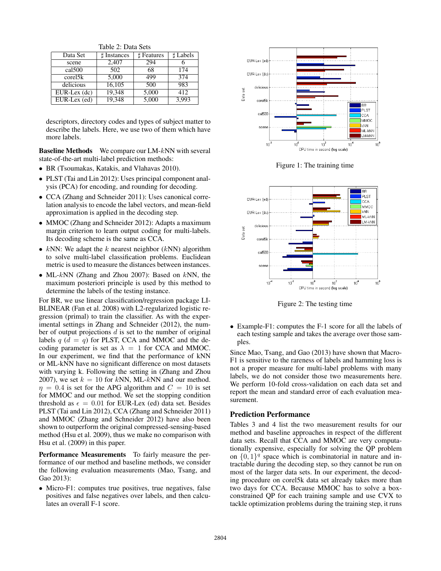Table 2: Data Sets

| Data Set                               | <b>H</b> Instances | ₫ Features | <b>Labels</b> |
|----------------------------------------|--------------------|------------|---------------|
| scene                                  | 2,407              | 294        |               |
| cal 500                                | 502                | 68         | 174           |
| corel5k                                | 5,000              | 499        | 374           |
| delicious                              | 16,105             | 500        | 983           |
| $EUR-Lex$ (dc)                         | 19,348             | 5,000      | 412           |
| $\overline{\text{EUR-Lex}(\text{ed})}$ | 19,348             | 5,000      | 3,993         |

descriptors, directory codes and types of subject matter to describe the labels. Here, we use two of them which have more labels.

**Baseline Methods** We compare our LM-kNN with several state-of-the-art multi-label prediction methods:

- BR (Tsoumakas, Katakis, and Vlahavas 2010).
- PLST (Tai and Lin 2012): Uses principal component analysis (PCA) for encoding, and rounding for decoding.
- CCA (Zhang and Schneider 2011): Uses canonical correlation analysis to encode the label vectors, and mean-field approximation is applied in the decoding step.
- MMOC (Zhang and Schneider 2012): Adapts a maximum margin criterion to learn output coding for multi-labels. Its decoding scheme is the same as CCA.
- $kNN$ : We adapt the k nearest neighbor ( $kNN$ ) algorithm to solve multi-label classification problems. Euclidean metric is used to measure the distances between instances.
- ML- $kNN$  (Zhang and Zhou 2007): Based on  $kNN$ , the maximum posteriori principle is used by this method to determine the labels of the testing instance.

For BR, we use linear classification/regression package LI-BLINEAR (Fan et al. 2008) with L2-regularized logistic regression (primal) to train the classifier. As with the experimental settings in Zhang and Schneider (2012), the number of output projections  $d$  is set to the number of original labels  $q$  ( $d = q$ ) for PLST, CCA and MMOC and the decoding parameter is set as  $\lambda = 1$  for CCA and MMOC. In our experiment, we find that the performance of kNN or ML-kNN have no significant difference on most datasets with varying k. Following the setting in (Zhang and Zhou 2007), we set  $k = 10$  for kNN, ML-kNN and our method.  $\eta = 0.4$  is set for the APG algorithm and  $C = 10$  is set for MMOC and our method. We set the stopping condition threshold as  $\epsilon = 0.01$  for EUR-Lex (ed) data set. Besides PLST (Tai and Lin 2012), CCA (Zhang and Schneider 2011) and MMOC (Zhang and Schneider 2012) have also been shown to outperform the original compressed-sensing-based method (Hsu et al. 2009), thus we make no comparison with Hsu et al. (2009) in this paper.

Performance Measurements To fairly measure the performance of our method and baseline methods, we consider the following evaluation measurements (Mao, Tsang, and Gao 2013):

• Micro-F1: computes true positives, true negatives, false positives and false negatives over labels, and then calculates an overall F-1 score.



Figure 1: The training time



Figure 2: The testing time

• Example-F1: computes the F-1 score for all the labels of each testing sample and takes the average over those samples.

Since Mao, Tsang, and Gao (2013) have shown that Macro-F1 is sensitive to the rareness of labels and hamming loss is not a proper measure for multi-label problems with many labels, we do not consider those two measurements here. We perform 10-fold cross-validation on each data set and report the mean and standard error of each evaluation measurement.

#### Prediction Performance

Tables 3 and 4 list the two measurement results for our method and baseline approaches in respect of the different data sets. Recall that CCA and MMOC are very computationally expensive, especially for solving the QP problem on  $\{0,1\}^q$  space which is combinatorial in nature and intractable during the decoding step, so they cannot be run on most of the larger data sets. In our experiment, the decoding procedure on corel5k data set already takes more than two days for CCA. Because MMOC has to solve a boxconstrained QP for each training sample and use CVX to tackle optimization problems during the training step, it runs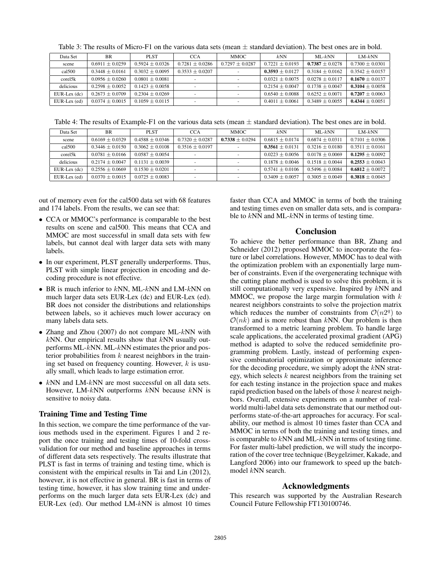| Data Set       | <b>BR</b>           | PLST                | <b>CCA</b>        | MMOC .            | kNN                 | $ML-kNN$            | $LM-kNN$            |
|----------------|---------------------|---------------------|-------------------|-------------------|---------------------|---------------------|---------------------|
| scene          | $0.6911 \pm 0.0259$ | $0.5924 + 0.0326$   | $0.7281 + 0.0286$ | $0.7297 + 0.0287$ | $0.7221 + 0.0193$   | $0.7387 \pm 0.0278$ | $0.7300 + 0.0301$   |
| cal 500        | $0.3448 + 0.0161$   | $0.3032 + 0.0095$   | $0.3533 + 0.0207$ |                   | $0.3593 + 0.0127$   | $0.3184 + 0.0162$   | $0.3542 + 0.0157$   |
| corel5k        | $0.0956 \pm 0.0260$ | $0.0801 \pm 0.0081$ |                   |                   | $0.0321 \pm 0.0075$ | $0.0278 \pm 0.0117$ | $0.1670 \pm 0.0137$ |
| delicious      | $0.2598 \pm 0.0052$ | $0.1423 + 0.0058$   |                   |                   | $0.2154 \pm 0.0047$ | $0.1738 \pm 0.0047$ | $0.3104 \pm 0.0058$ |
| $EUR-Lex$ (dc) | $0.2673 \pm 0.0709$ | $0.2304 + 0.0269$   |                   |                   | $0.6540 + 0.0088$   | $0.6252 + 0.0071$   | $0.7207 + 0.0063$   |
| EUR-Lex (ed)   | $0.0374 + 0.0015$   | $0.1059 \pm 0.0115$ |                   |                   | $0.4011 \pm 0.0061$ | $0.3489 + 0.0055$   | $0.4344 \pm 0.0051$ |

Table 4: The results of Example-F1 on the various data sets (mean  $\pm$  standard deviation). The best ones are in bold.

| Data Set       | <b>BR</b>           | PLST                | <b>CCA</b>          | MMOC .              | kNN                 | $ML-kNN$            | $LM-kNN$            |
|----------------|---------------------|---------------------|---------------------|---------------------|---------------------|---------------------|---------------------|
| scene          | $0.6169 \pm 0.0329$ | $0.4588 \pm 0.0346$ | $0.7320 \pm 0.0287$ | $0.7338 \pm 0.0294$ | $0.6815 \pm 0.0174$ | $0.6874 \pm 0.0311$ | $0.7101 \pm 0.0306$ |
| cal 500        | $0.3446 \pm 0.0150$ | $0.3062 + 0.0108$   | $0.3516 + 0.0197$   |                     | $0.3561 \pm 0.0131$ | $0.3216 \pm 0.0180$ | $0.3511 + 0.0161$   |
| corel5k        | $0.0781 + 0.0166$   | $0.0587 + 0.0054$   |                     |                     | $0.0223 + 0.0056$   | $0.0178 + 0.0069$   | $0.1295 \pm 0.0092$ |
| delicious      | $0.2174 + 0.0047$   | $0.1131 \pm 0.0039$ |                     |                     | $0.1878 + 0.0046$   | $0.1518 \pm 0.0044$ | $0.2553 \pm 0.0043$ |
| $EUR-Lex$ (dc) | $0.2556 \pm 0.0669$ | $0.1530 + 0.0201$   |                     |                     | $0.5741 + 0.0106$   | $0.5496 + 0.0084$   | $0.6812 + 0.0072$   |
| EUR-Lex (ed)   | $0.0370 + 0.0015$   | $0.0725 \pm 0.0083$ |                     |                     | $0.3409 + 0.0057$   | $0.3005 + 0.0049$   | $0.3818 + 0.0045$   |

out of memory even for the cal500 data set with 68 features and 174 labels. From the results, we can see that:

- CCA or MMOC's performance is comparable to the best results on scene and cal500. This means that CCA and MMOC are most successful in small data sets with few labels, but cannot deal with larger data sets with many labels.
- In our experiment, PLST generally underperforms. Thus, PLST with simple linear projection in encoding and decoding procedure is not effective.
- BR is much inferior to  $kNN$ , ML- $kNN$  and LM- $kNN$  on much larger data sets EUR-Lex (dc) and EUR-Lex (ed). BR does not consider the distributions and relationships between labels, so it achieves much lower accuracy on many labels data sets.
- Zhang and Zhou (2007) do not compare ML-kNN with  $kNN$ . Our empirical results show that  $kNN$  usually outperforms ML-kNN. ML-kNN estimates the prior and posterior probabilities from  $k$  nearest neighbors in the training set based on frequency counting. However,  $k$  is usually small, which leads to large estimation error.
- $kNN$  and LM- $kNN$  are most successful on all data sets. However, LM- $kNN$  outperforms  $kNN$  because  $kNN$  is sensitive to noisy data.

#### Training Time and Testing Time

In this section, we compare the time performance of the various methods used in the experiment. Figures 1 and 2 report the once training and testing times of 10-fold crossvalidation for our method and baseline approaches in terms of different data sets respectively. The results illustrate that PLST is fast in terms of training and testing time, which is consistent with the empirical results in Tai and Lin (2012), however, it is not effective in general. BR is fast in terms of testing time, however, it has slow training time and underperforms on the much larger data sets EUR-Lex (dc) and EUR-Lex (ed). Our method LM-kNN is almost 10 times

faster than CCA and MMOC in terms of both the training and testing times even on smaller data sets, and is comparable to  $kNN$  and ML- $kNN$  in terms of testing time.

#### Conclusion

To achieve the better performance than BR, Zhang and Schneider (2012) proposed MMOC to incorporate the feature or label correlations. However, MMOC has to deal with the optimization problem with an exponentially large number of constraints. Even if the overgenerating technique with the cutting plane method is used to solve this problem, it is still computationally very expensive. Inspired by  $kNN$  and MMOC, we propose the large margin formulation with  $k$ nearest neighbors constraints to solve the projection matrix which reduces the number of constraints from  $\mathcal{O}(n2^q)$  to  $O(nk)$  and is more robust than kNN. Our problem is then transformed to a metric learning problem. To handle large scale applications, the accelerated proximal gradient (APG) method is adapted to solve the reduced semidefinite programming problem. Lastly, instead of performing expensive combinatorial optimization or approximate inference for the decoding procedure, we simply adopt the kNN strategy, which selects  $k$  nearest neighbors from the training set for each testing instance in the projection space and makes rapid prediction based on the labels of those  $k$  nearest neighbors. Overall, extensive experiments on a number of realworld multi-label data sets demonstrate that our method outperforms state-of-the-art approaches for accuracy. For scalability, our method is almost 10 times faster than CCA and MMOC in terms of both the training and testing times, and is comparable to  $kNN$  and ML- $kNN$  in terms of testing time. For faster multi-label prediction, we will study the incorporation of the cover tree technique (Beygelzimer, Kakade, and Langford 2006) into our framework to speed up the batchmodel kNN search.

### Acknowledgments

This research was supported by the Australian Research Council Future Fellowship FT130100746.